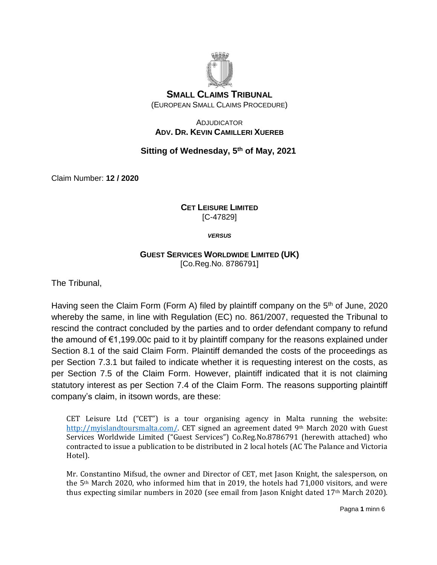

### ADJUDICATOR **ADV. DR. KEVIN CAMILLERI XUEREB**

# **Sitting of Wednesday, 5 th of May, 2021**

Claim Number: **12 / 2020**

### **CET LEISURE LIMITED**  [C-47829]

*VERSUS*

## **GUEST SERVICES WORLDWIDE LIMITED (UK)** [Co.Reg.No. 8786791]

The Tribunal,

Having seen the Claim Form (Form A) filed by plaintiff company on the 5<sup>th</sup> of June, 2020 whereby the same, in line with Regulation (EC) no. 861/2007, requested the Tribunal to rescind the contract concluded by the parties and to order defendant company to refund the amound of €1,199.00c paid to it by plaintiff company for the reasons explained under Section 8.1 of the said Claim Form. Plaintiff demanded the costs of the proceedings as per Section 7.3.1 but failed to indicate whether it is requesting interest on the costs, as per Section 7.5 of the Claim Form. However, plaintiff indicated that it is not claiming statutory interest as per Section 7.4 of the Claim Form. The reasons supporting plaintiff company's claim, in itsown words, are these:

CET Leisure Ltd ("CET") is a tour organising agency in Malta running the website: [http://myislandtoursmalta.com/.](http://myislandtoursmalta.com/) CET signed an agreement dated 9<sup>th</sup> March 2020 with Guest Services Worldwide Limited ("Guest Services") Co.Reg.No.8786791 (herewith attached) who contracted to issue a publication to be distributed in 2 local hotels (AC The Palance and Victoria Hotel).

Mr. Constantino Mifsud, the owner and Director of CET, met Jason Knight, the salesperson, on the  $5<sup>th</sup>$  March 2020, who informed him that in 2019, the hotels had 71,000 visitors, and were thus expecting similar numbers in 2020 (see email from Jason Knight dated 17th March 2020).

Pagna **1** minn 6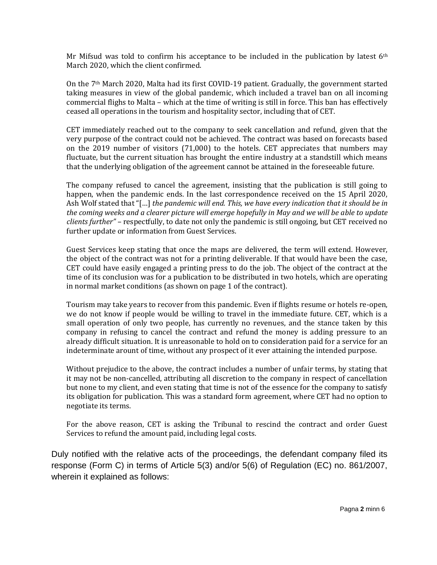Mr Mifsud was told to confirm his acceptance to be included in the publication by latest  $6<sup>th</sup>$ March 2020, which the client confirmed.

On the 7th March 2020, Malta had its first COVID-19 patient. Gradually, the government started taking measures in view of the global pandemic, which included a travel ban on all incoming commercial flighs to Malta – which at the time of writing is still in force. This ban has effectively ceased all operations in the tourism and hospitality sector, including that of CET.

CET immediately reached out to the company to seek cancellation and refund, given that the very purpose of the contract could not be achieved. The contract was based on forecasts based on the 2019 number of visitors (71,000) to the hotels. CET appreciates that numbers may fluctuate, but the current situation has brought the entire industry at a standstill which means that the underlying obligation of the agreement cannot be attained in the foreseeable future.

The company refused to cancel the agreement, insisting that the publication is still going to happen, when the pandemic ends. In the last correspondence received on the 15 April 2020, Ash Wolf stated that "[…] *the pandemic will end. This, we have every indication that it should be in the coming weeks and a clearer picture will emerge hopefully in May and we will be able to update clients further"* – respectfully, to date not only the pandemic is still ongoing, but CET received no further update or information from Guest Services.

Guest Services keep stating that once the maps are delivered, the term will extend. However, the object of the contract was not for a printing deliverable. If that would have been the case, CET could have easily engaged a printing press to do the job. The object of the contract at the time of its conclusion was for a publication to be distributed in two hotels, which are operating in normal market conditions (as shown on page 1 of the contract).

Tourism may take years to recover from this pandemic. Even if flights resume or hotels re-open, we do not know if people would be willing to travel in the immediate future. CET, which is a small operation of only two people, has currently no revenues, and the stance taken by this company in refusing to cancel the contract and refund the money is adding pressure to an already difficult situation. It is unreasonable to hold on to consideration paid for a service for an indeterminate arount of time, without any prospect of it ever attaining the intended purpose.

Without prejudice to the above, the contract includes a number of unfair terms, by stating that it may not be non-cancelled, attributing all discretion to the company in respect of cancellation but none to my client, and even stating that time is not of the essence for the company to satisfy its obligation for publication. This was a standard form agreement, where CET had no option to negotiate its terms.

For the above reason, CET is asking the Tribunal to rescind the contract and order Guest Services to refund the amount paid, including legal costs.

Duly notified with the relative acts of the proceedings, the defendant company filed its response (Form C) in terms of Article 5(3) and/or 5(6) of Regulation (EC) no. 861/2007, wherein it explained as follows: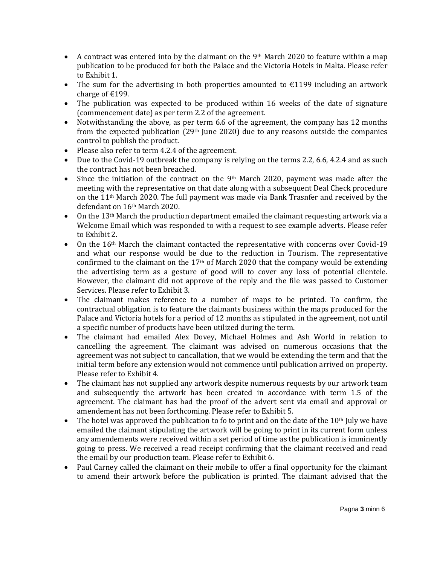- A contract was entered into by the claimant on the 9th March 2020 to feature within a map publication to be produced for both the Palace and the Victoria Hotels in Malta. Please refer to Exhibit 1.
- The sum for the advertising in both properties amounted to  $\epsilon$ 1199 including an artwork charge of €199.
- The publication was expected to be produced within 16 weeks of the date of signature (commencement date) as per term 2.2 of the agreement.
- Notwithstanding the above, as per term 6.6 of the agreement, the company has 12 months from the expected publication  $(29<sup>th</sup>)$  June 2020) due to any reasons outside the companies control to publish the product.
- Please also refer to term 4.2.4 of the agreement.
- Due to the Covid-19 outbreak the company is relying on the terms 2.2, 6.6, 4.2.4 and as such the contract has not been breached.
- Since the initiation of the contract on the 9<sup>th</sup> March 2020, payment was made after the meeting with the representative on that date along with a subsequent Deal Check procedure on the  $11<sup>th</sup>$  March 2020. The full payment was made via Bank Trasnfer and received by the defendant on 16th March 2020.
- On the 13th March the production department emailed the claimant requesting artwork via a Welcome Email which was responded to with a request to see example adverts. Please refer to Exhibit 2.
- $\bullet$  On the 16<sup>th</sup> March the claimant contacted the representative with concerns over Covid-19 and what our response would be due to the reduction in Tourism. The representative confirmed to the claimant on the 17th of March 2020 that the company would be extending the advertising term as a gesture of good will to cover any loss of potential clientele. However, the claimant did not approve of the reply and the file was passed to Customer Services. Please refer to Exhibit 3.
- The claimant makes reference to a number of maps to be printed. To confirm, the contractual obligation is to feature the claimants business within the maps produced for the Palace and Victoria hotels for a period of 12 months as stipulated in the agreement, not until a specific number of products have been utilized during the term.
- The claimant had emailed Alex Dovey, Michael Holmes and Ash World in relation to cancelling the agreement. The claimant was advised on numerous occasions that the agreement was not subject to cancallation, that we would be extending the term and that the initial term before any extension would not commence until publication arrived on property. Please refer to Exhibit 4.
- The claimant has not supplied any artwork despite numerous requests by our artwork team and subsequently the artwork has been created in accordance with term 1.5 of the agreement. The claimant has had the proof of the advert sent via email and approval or amendement has not been forthcoming. Please refer to Exhibit 5.
- The hotel was approved the publication to fo to print and on the date of the  $10<sup>th</sup>$  July we have emailed the claimant stipulating the artwork will be going to print in its current form unless any amendements were received within a set period of time as the publication is imminently going to press. We received a read receipt confirming that the claimant received and read the email by our production team. Please refer to Exhibit 6.
- Paul Carney called the claimant on their mobile to offer a final opportunity for the claimant to amend their artwork before the publication is printed. The claimant advised that the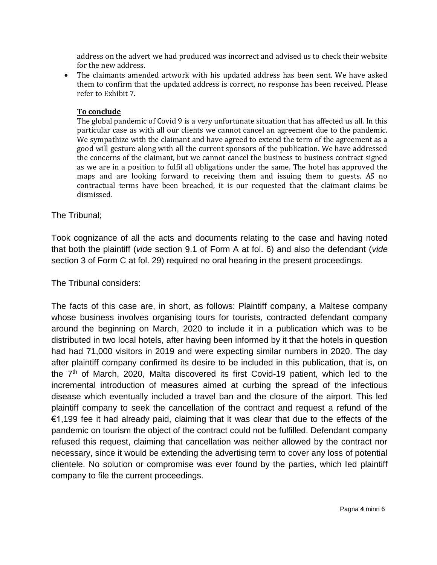address on the advert we had produced was incorrect and advised us to check their website for the new address.

 The claimants amended artwork with his updated address has been sent. We have asked them to confirm that the updated address is correct, no response has been received. Please refer to Exhibit 7.

#### **To conclude**

The global pandemic of Covid 9 is a very unfortunate situation that has affected us all. In this particular case as with all our clients we cannot cancel an agreement due to the pandemic. We sympathize with the claimant and have agreed to extend the term of the agreement as a good will gesture along with all the current sponsors of the publication. We have addressed the concerns of the claimant, but we cannot cancel the business to business contract signed as we are in a position to fulfil all obligations under the same. The hotel has approved the maps and are looking forward to receiving them and issuing them to guests. AS no contractual terms have been breached, it is our requested that the claimant claims be dismissed.

## The Tribunal;

Took cognizance of all the acts and documents relating to the case and having noted that both the plaintiff (*vide* section 9.1 of Form A at fol. 6) and also the defendant (*vide* section 3 of Form C at fol. 29) required no oral hearing in the present proceedings.

The Tribunal considers:

The facts of this case are, in short, as follows: Plaintiff company, a Maltese company whose business involves organising tours for tourists, contracted defendant company around the beginning on March, 2020 to include it in a publication which was to be distributed in two local hotels, after having been informed by it that the hotels in question had had 71,000 visitors in 2019 and were expecting similar numbers in 2020. The day after plaintiff company confirmed its desire to be included in this publication, that is, on the 7th of March, 2020, Malta discovered its first Covid-19 patient, which led to the incremental introduction of measures aimed at curbing the spread of the infectious disease which eventually included a travel ban and the closure of the airport. This led plaintiff company to seek the cancellation of the contract and request a refund of the €1,199 fee it had already paid, claiming that it was clear that due to the effects of the pandemic on tourism the object of the contract could not be fulfilled. Defendant company refused this request, claiming that cancellation was neither allowed by the contract nor necessary, since it would be extending the advertising term to cover any loss of potential clientele. No solution or compromise was ever found by the parties, which led plaintiff company to file the current proceedings.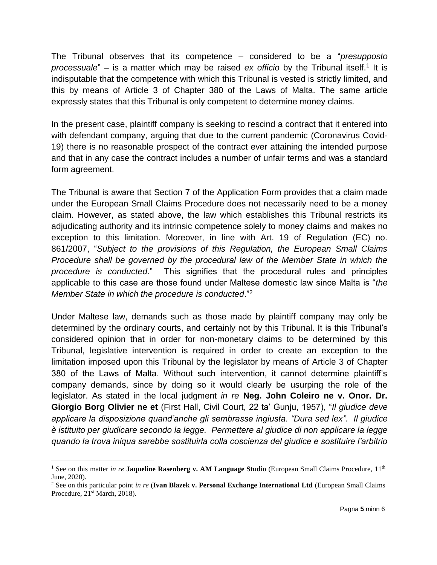The Tribunal observes that its competence – considered to be a "*presupposto*  processuale" – is a matter which may be raised ex officio by the Tribunal itself.<sup>1</sup> It is indisputable that the competence with which this Tribunal is vested is strictly limited, and this by means of Article 3 of Chapter 380 of the Laws of Malta. The same article expressly states that this Tribunal is only competent to determine money claims.

In the present case, plaintiff company is seeking to rescind a contract that it entered into with defendant company, arguing that due to the current pandemic (Coronavirus Covid-19) there is no reasonable prospect of the contract ever attaining the intended purpose and that in any case the contract includes a number of unfair terms and was a standard form agreement.

The Tribunal is aware that Section 7 of the Application Form provides that a claim made under the European Small Claims Procedure does not necessarily need to be a money claim. However, as stated above, the law which establishes this Tribunal restricts its adjudicating authority and its intrinsic competence solely to money claims and makes no exception to this limitation. Moreover, in line with Art. 19 of Regulation (EC) no. 861/2007, "*Subject to the provisions of this Regulation, the European Small Claims Procedure shall be governed by the procedural law of the Member State in which the procedure is conducted*." This signifies that the procedural rules and principles applicable to this case are those found under Maltese domestic law since Malta is "*the Member State in which the procedure is conducted*."<sup>2</sup>

Under Maltese law, demands such as those made by plaintiff company may only be determined by the ordinary courts, and certainly not by this Tribunal. It is this Tribunal's considered opinion that in order for non-monetary claims to be determined by this Tribunal, legislative intervention is required in order to create an exception to the limitation imposed upon this Tribunal by the legislator by means of Article 3 of Chapter 380 of the Laws of Malta. Without such intervention, it cannot determine plaintiff's company demands, since by doing so it would clearly be usurping the role of the legislator. As stated in the local judgment *in re* **Neg. John Coleiro ne v. Onor. Dr. Giorgio Borg Olivier ne et** (First Hall, Civil Court, 22 ta' Gunju, 1957), "*Il giudice deve applicare la disposizione quand'anche gli sembrasse ingiusta. "Dura sed lex". Il giudice è istituito per giudicare secondo la legge. Permettere al giudice di non applicare la legge quando la trova iniqua sarebbe sostituirla colla coscienza del giudice e sostituire l'arbitrio* 

 $\overline{\phantom{a}}$ <sup>1</sup> See on this matter *in re* **Jaqueline Rasenberg v. AM Language Studio** (European Small Claims Procedure, 11<sup>th</sup> June, 2020).

<sup>2</sup> See on this particular point *in re* (**Ivan Blazek v. Personal Exchange International Ltd** (European Small Claims Procedure, 21<sup>st</sup> March, 2018).